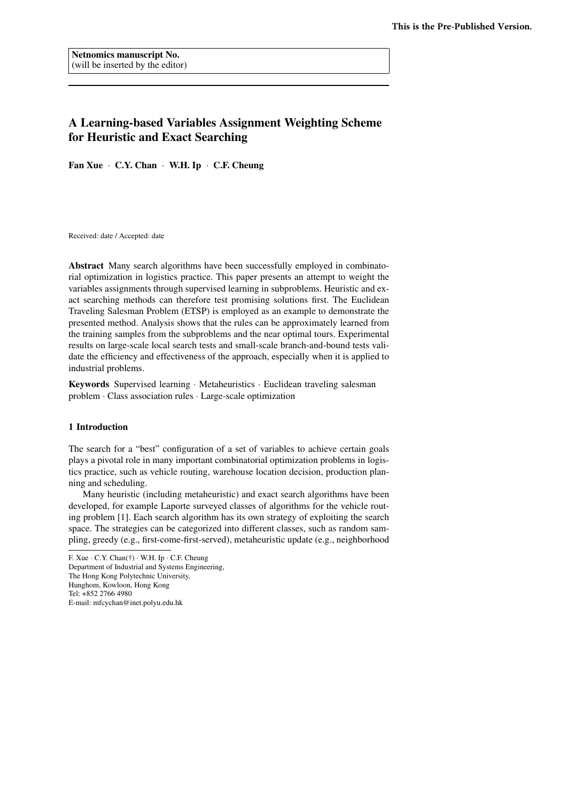# A Learning-based Variables Assignment Weighting Scheme for Heuristic and Exact Searching

Fan Xue *·* C.Y. Chan *·* W.H. Ip *·* C.F. Cheung

Received: date / Accepted: date

Abstract Many search algorithms have been successfully employed in combinatorial optimization in logistics practice. This paper presents an attempt to weight the variables assignments through supervised learning in subproblems. Heuristic and exact searching methods can therefore test promising solutions first. The Euclidean Traveling Salesman Problem (ETSP) is employed as an example to demonstrate the presented method. Analysis shows that the rules can be approximately learned from the training samples from the subproblems and the near optimal tours. Experimental results on large-scale local search tests and small-scale branch-and-bound tests validate the efficiency and effectiveness of the approach, especially when it is applied to industrial problems.

Keywords Supervised learning *·* Metaheuristics *·* Euclidean traveling salesman problem *·* Class association rules *·* Large-scale optimization

## 1 Introduction

The search for a "best" configuration of a set of variables to achieve certain goals plays a pivotal role in many important combinatorial optimization problems in logistics practice, such as vehicle routing, warehouse location decision, production planning and scheduling.

Many heuristic (including metaheuristic) and exact search algorithms have been developed, for example Laporte surveyed classes of algorithms for the vehicle routing problem [1]. Each search algorithm has its own strategy of exploiting the search space. The strategies can be categorized into different classes, such as random sampling, greedy (e.g., first-come-first-served), metaheuristic update (e.g., neighborhood

F. Xue *·* C.Y. Chan(†) *·* W.H. Ip *·* C.F. Cheung Department of Industrial and Systems Engineering, The Hong Kong Polytechnic University, Hunghom, Kowloon, Hong Kong Tel: +852 2766 4980 E-mail: mfcychan@inet.polyu.edu.hk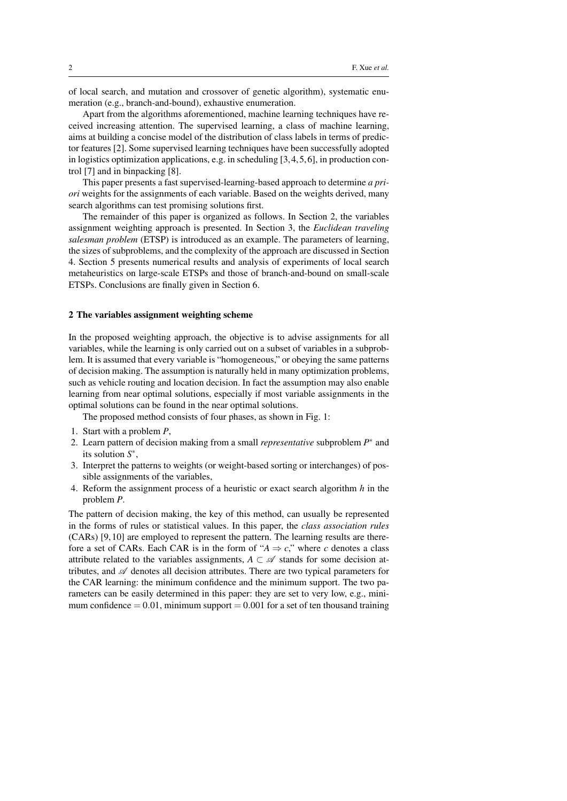of local search, and mutation and crossover of genetic algorithm), systematic enumeration (e.g., branch-and-bound), exhaustive enumeration.

Apart from the algorithms aforementioned, machine learning techniques have received increasing attention. The supervised learning, a class of machine learning, aims at building a concise model of the distribution of class labels in terms of predictor features [2]. Some supervised learning techniques have been successfully adopted in logistics optimization applications, e.g. in scheduling [3,4,5,6], in production control [7] and in binpacking [8].

This paper presents a fast supervised-learning-based approach to determine *a priori* weights for the assignments of each variable. Based on the weights derived, many search algorithms can test promising solutions first.

The remainder of this paper is organized as follows. In Section 2, the variables assignment weighting approach is presented. In Section 3, the *Euclidean traveling salesman problem* (ETSP) is introduced as an example. The parameters of learning, the sizes of subproblems, and the complexity of the approach are discussed in Section 4. Section 5 presents numerical results and analysis of experiments of local search metaheuristics on large-scale ETSPs and those of branch-and-bound on small-scale ETSPs. Conclusions are finally given in Section 6.

## 2 The variables assignment weighting scheme

In the proposed weighting approach, the objective is to advise assignments for all variables, while the learning is only carried out on a subset of variables in a subproblem. It is assumed that every variable is "homogeneous," or obeying the same patterns of decision making. The assumption is naturally held in many optimization problems, such as vehicle routing and location decision. In fact the assumption may also enable learning from near optimal solutions, especially if most variable assignments in the optimal solutions can be found in the near optimal solutions.

The proposed method consists of four phases, as shown in Fig. 1:

- 1. Start with a problem *P*,
- 2. Learn pattern of decision making from a small *representative* subproblem *P ∗* and its solution *S ∗* ,
- 3. Interpret the patterns to weights (or weight-based sorting or interchanges) of possible assignments of the variables,
- 4. Reform the assignment process of a heuristic or exact search algorithm *h* in the problem *P*.

The pattern of decision making, the key of this method, can usually be represented in the forms of rules or statistical values. In this paper, the *class association rules* (CARs) [9,10] are employed to represent the pattern. The learning results are therefore a set of CARs. Each CAR is in the form of " $A \Rightarrow c$ ," where *c* denotes a class attribute related to the variables assignments,  $A \subset \mathscr{A}$  stands for some decision attributes, and *A* denotes all decision attributes. There are two typical parameters for the CAR learning: the minimum confidence and the minimum support. The two parameters can be easily determined in this paper: they are set to very low, e.g., minimum confidence  $= 0.01$ , minimum support  $= 0.001$  for a set of ten thousand training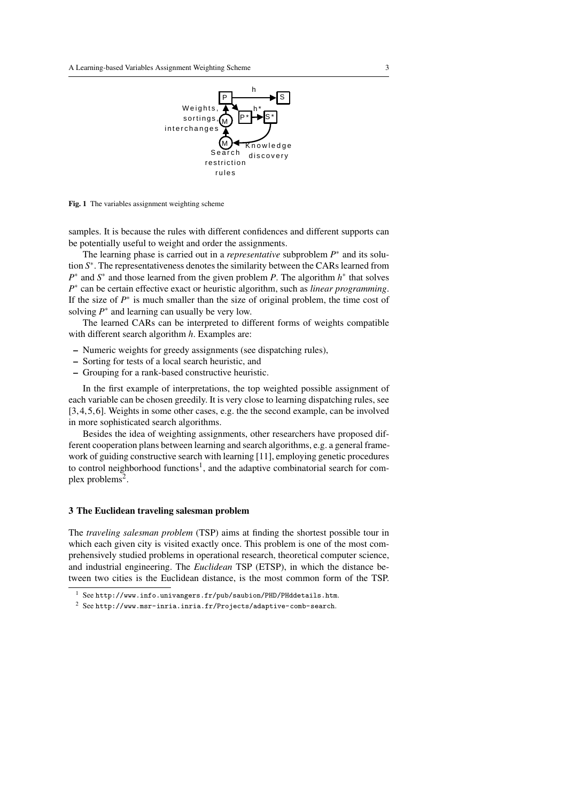

Fig. 1 The variables assignment weighting scheme

samples. It is because the rules with different confidences and different supports can be potentially useful to weight and order the assignments.

The learning phase is carried out in a *representative* subproblem *P ∗* and its solution *S ∗* . The representativeness denotes the similarity between the CARs learned from *P*<sup>∗</sup> and *S*<sup>∗</sup> and those learned from the given problem *P*. The algorithm *h*<sup>∗</sup> that solves *P*<sup>∗</sup> can be certain effective exact or heuristic algorithm, such as *linear programming*. If the size of  $P^*$  is much smaller than the size of original problem, the time cost of solving  $P^*$  and learning can usually be very low.

The learned CARs can be interpreted to different forms of weights compatible with different search algorithm *h*. Examples are:

- Numeric weights for greedy assignments (see dispatching rules),
- Sorting for tests of a local search heuristic, and
- Grouping for a rank-based constructive heuristic.

In the first example of interpretations, the top weighted possible assignment of each variable can be chosen greedily. It is very close to learning dispatching rules, see [3,4,5,6]. Weights in some other cases, e.g. the the second example, can be involved in more sophisticated search algorithms.

Besides the idea of weighting assignments, other researchers have proposed different cooperation plans between learning and search algorithms, e.g. a general framework of guiding constructive search with learning [11], employing genetic procedures to control neighborhood functions<sup>1</sup>, and the adaptive combinatorial search for complex problems<sup>2</sup>.

## 3 The Euclidean traveling salesman problem

The *traveling salesman problem* (TSP) aims at finding the shortest possible tour in which each given city is visited exactly once. This problem is one of the most comprehensively studied problems in operational research, theoretical computer science, and industrial engineering. The *Euclidean* TSP (ETSP), in which the distance between two cities is the Euclidean distance, is the most common form of the TSP.

 $1$  See http://www.info.univangers.fr/pub/saubion/PHD/PHddetails.htm.

 $2$  See http://www.msr-inria.inria.fr/Projects/adaptive-comb-search.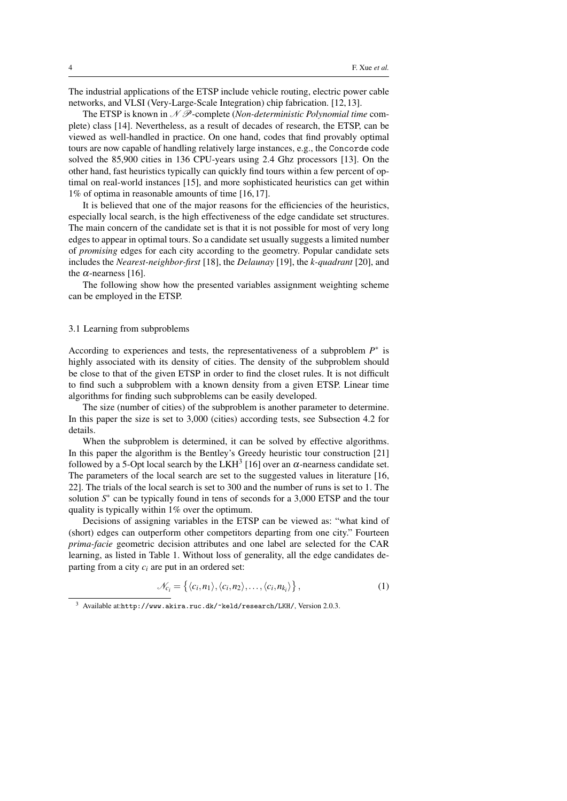The industrial applications of the ETSP include vehicle routing, electric power cable networks, and VLSI (Very-Large-Scale Integration) chip fabrication. [12,13].

The ETSP is known in *N P*-complete (*Non-deterministic Polynomial time* complete) class [14]. Nevertheless, as a result of decades of research, the ETSP, can be viewed as well-handled in practice. On one hand, codes that find provably optimal tours are now capable of handling relatively large instances, e.g., the Concorde code solved the 85,900 cities in 136 CPU-years using 2.4 Ghz processors [13]. On the other hand, fast heuristics typically can quickly find tours within a few percent of optimal on real-world instances [15], and more sophisticated heuristics can get within 1% of optima in reasonable amounts of time [16,17].

It is believed that one of the major reasons for the efficiencies of the heuristics, especially local search, is the high effectiveness of the edge candidate set structures. The main concern of the candidate set is that it is not possible for most of very long edges to appear in optimal tours. So a candidate set usually suggests a limited number of *promising* edges for each city according to the geometry. Popular candidate sets includes the *Nearest-neighbor-first* [18], the *Delaunay* [19], the *k-quadrant* [20], and the  $\alpha$ -nearness [16].

The following show how the presented variables assignment weighting scheme can be employed in the ETSP.

## 3.1 Learning from subproblems

According to experiences and tests, the representativeness of a subproblem *P ∗* is highly associated with its density of cities. The density of the subproblem should be close to that of the given ETSP in order to find the closet rules. It is not difficult to find such a subproblem with a known density from a given ETSP. Linear time algorithms for finding such subproblems can be easily developed.

The size (number of cities) of the subproblem is another parameter to determine. In this paper the size is set to 3,000 (cities) according tests, see Subsection 4.2 for details.

When the subproblem is determined, it can be solved by effective algorithms. In this paper the algorithm is the Bentley's Greedy heuristic tour construction [21] followed by a 5-Opt local search by the LKH<sup>3</sup> [16] over an  $\alpha$ -nearness candidate set. The parameters of the local search are set to the suggested values in literature [16, 22]. The trials of the local search is set to 300 and the number of runs is set to 1. The solution *S*<sup>\*</sup> can be typically found in tens of seconds for a 3,000 ETSP and the tour quality is typically within 1% over the optimum.

Decisions of assigning variables in the ETSP can be viewed as: "what kind of (short) edges can outperform other competitors departing from one city." Fourteen *prima-facie* geometric decision attributes and one label are selected for the CAR learning, as listed in Table 1. Without loss of generality, all the edge candidates departing from a city *c<sup>i</sup>* are put in an ordered set:

$$
\mathcal{N}_{c_i} = \left\{ \langle c_i, n_1 \rangle, \langle c_i, n_2 \rangle, \dots, \langle c_i, n_{k_i} \rangle \right\},\tag{1}
$$

<sup>3</sup> Available at:http://www.akira.ruc.dk/~keld/research/LKH/, Version 2.0.3.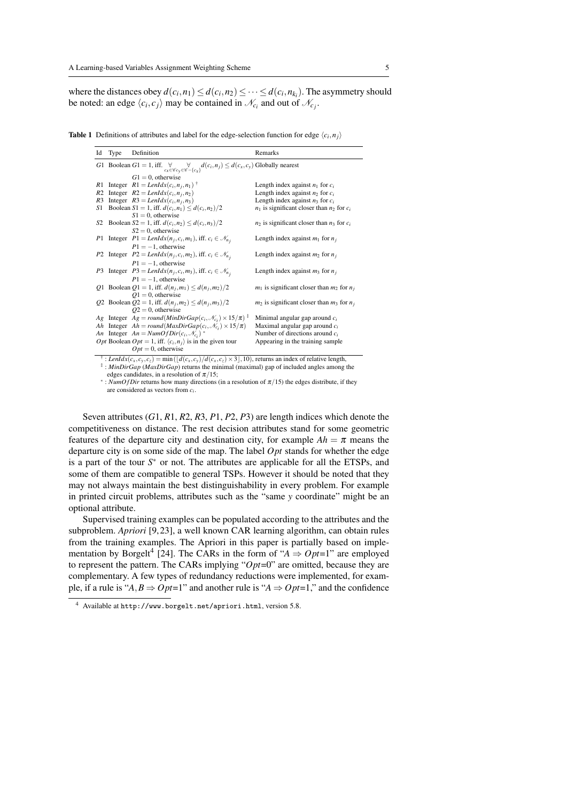where the distances obey  $d(c_i, n_1) \leq d(c_i, n_2) \leq \cdots \leq d(c_i, n_{k_i})$ . The asymmetry should be noted: an edge  $\langle c_i, c_j \rangle$  may be contained in  $\mathcal{N}_{c_i}$  and out of  $\mathcal{N}_{c_j}$ .

**Table 1** Definitions of attributes and label for the edge-selection function for edge  $\langle c_i, n_j \rangle$ 

| Id             | Type | Definition                                                                                                                                                                                                                                                                                                                                                                                                                                                                   | Remarks                                          |
|----------------|------|------------------------------------------------------------------------------------------------------------------------------------------------------------------------------------------------------------------------------------------------------------------------------------------------------------------------------------------------------------------------------------------------------------------------------------------------------------------------------|--------------------------------------------------|
|                |      | G1 Boolean G1 = 1, iff. $\forall$ $\forall$ $\forall$ $d(c_i, n_j) \le d(c_x, c_y)$ Globally nearest                                                                                                                                                                                                                                                                                                                                                                         |                                                  |
|                |      | $G1 = 0$ , otherwise                                                                                                                                                                                                                                                                                                                                                                                                                                                         |                                                  |
| R1             |      | Integer $R1 = \text{L} \cdot \text{L} \cdot \text{L} \cdot \text{L} \cdot \text{L} \cdot \text{L} \cdot \text{L} \cdot \text{L} \cdot \text{L} \cdot \text{L} \cdot \text{L} \cdot \text{L} \cdot \text{L} \cdot \text{L} \cdot \text{L} \cdot \text{L} \cdot \text{L} \cdot \text{L} \cdot \text{L} \cdot \text{L} \cdot \text{L} \cdot \text{L} \cdot \text{L} \cdot \text{L} \cdot \text{L} \cdot \text{L} \cdot \text{L} \cdot \text{L} \cdot \text{L} \cdot \text{L} \$ | Length index against $n_1$ for $c_i$             |
| R <sub>2</sub> |      | Integer $R2 = \text{Lenldx}(c_i, n_i, n_2)$                                                                                                                                                                                                                                                                                                                                                                                                                                  | Length index against $n_2$ for $c_i$             |
| R <sub>3</sub> |      | Integer $R3 = LenIdx(c_i, n_i, n_3)$                                                                                                                                                                                                                                                                                                                                                                                                                                         | Length index against $n_3$ for $c_i$             |
| S1             |      | Boolean S1 = 1, iff. $d(c_i, n_1) \leq d(c_i, n_2)/2$                                                                                                                                                                                                                                                                                                                                                                                                                        | $n_1$ is significant closer than $n_2$ for $c_i$ |
|                |      | $S1 = 0$ , otherwise                                                                                                                                                                                                                                                                                                                                                                                                                                                         |                                                  |
|                |      | S2 Boolean S2 = 1, iff. $d(c_i, n_2) \leq d(c_i, n_3)/2$                                                                                                                                                                                                                                                                                                                                                                                                                     | $n_2$ is significant closer than $n_3$ for $c_i$ |
|                |      | $S2 = 0$ , otherwise                                                                                                                                                                                                                                                                                                                                                                                                                                                         |                                                  |
|                |      | P1 Integer $P1 = \text{Lenldx}(n_j, c_i, m_1)$ , iff. $c_i \in \mathcal{N}_{n_i}$                                                                                                                                                                                                                                                                                                                                                                                            | Length index against $m_1$ for $n_i$             |
|                |      | $P1 = -1$ , otherwise                                                                                                                                                                                                                                                                                                                                                                                                                                                        |                                                  |
|                |      | P2 Integer $P2 = LenIdx(n_j, c_i, m_2)$ , iff. $c_i \in \mathcal{N}_{n_i}$                                                                                                                                                                                                                                                                                                                                                                                                   | Length index against $m_2$ for $n_i$             |
|                |      | $P1 = -1$ , otherwise                                                                                                                                                                                                                                                                                                                                                                                                                                                        |                                                  |
|                |      | P3 Integer $P3 = LenIdx(n_i, c_i, m_3)$ , iff. $c_i \in \mathcal{N}_{n_i}$                                                                                                                                                                                                                                                                                                                                                                                                   | Length index against $m_3$ for $n_i$             |
|                |      | $P1 = -1$ , otherwise                                                                                                                                                                                                                                                                                                                                                                                                                                                        |                                                  |
|                |      | Q1 Boolean Q1 = 1, iff. $d(n_i, m_1) \leq d(n_i, m_2)/2$                                                                                                                                                                                                                                                                                                                                                                                                                     | $m_1$ is significant closer than $m_2$ for $n_i$ |
|                |      | $Q1 = 0$ , otherwise                                                                                                                                                                                                                                                                                                                                                                                                                                                         |                                                  |
|                |      | Q2 Boolean $Q2 = 1$ , iff. $d(n_1, m_2) \le d(n_1, m_3)/2$                                                                                                                                                                                                                                                                                                                                                                                                                   | $m_2$ is significant closer than $m_3$ for $n_i$ |
|                |      | $Q2 = 0$ , otherwise                                                                                                                                                                                                                                                                                                                                                                                                                                                         |                                                  |
|                |      | Ag Integer $Ag = round(MinDirGap(c_i, \mathcal{N}_c) \times 15/\pi)^{\frac{1}{4}}$                                                                                                                                                                                                                                                                                                                                                                                           | Minimal angular gap around $c_i$                 |
| Ah             |      | Integer $Ah = round(MaxDirGap(c_i, \mathcal{N}_c) \times 15/\pi)$                                                                                                                                                                                                                                                                                                                                                                                                            | Maximal angular gap around $c_i$                 |
|                |      | An Integer $An = NumOfDir(c_i, \mathcal{N}_{c_i})^*$                                                                                                                                                                                                                                                                                                                                                                                                                         | Number of directions around $c_i$                |
|                |      | <i>Opt</i> Boolean <i>Opt</i> = 1, iff. $\langle c_i, n_i \rangle$ is in the given tour                                                                                                                                                                                                                                                                                                                                                                                      | Appearing in the training sample                 |
|                |      | $Opt = 0$ , otherwise                                                                                                                                                                                                                                                                                                                                                                                                                                                        |                                                  |
|                |      | <sup>†</sup> : <i>LenIdx</i> ( $c_x$ , $c_y$ , $c_z$ ) = min( $\lfloor d(c_x, c_y)/d(c_x, c_z) \times 3 \rfloor$ , 10), returns an index of relative length,                                                                                                                                                                                                                                                                                                                 |                                                  |
|                |      |                                                                                                                                                                                                                                                                                                                                                                                                                                                                              |                                                  |

‡ : *MinDirGap* (*MaxDirGap*) returns the minimal (maximal) gap of included angles among the edges candidates, in a resolution of <sup>π</sup>*/*15;

<sup>*∗*</sup>: *NumOf Dir* returns how many directions (in a resolution of  $\pi/15$ ) the edges distribute, if they are considered as vectors from *c<sup>i</sup>* .

Seven attributes (*G*1, *R*1, *R*2, *R*3, *P*1, *P*2, *P*3) are length indices which denote the competitiveness on distance. The rest decision attributes stand for some geometric features of the departure city and destination city, for example  $Ah = \pi$  means the departure city is on some side of the map. The label *Opt* stands for whether the edge is a part of the tour *S <sup>∗</sup>* or not. The attributes are applicable for all the ETSPs, and some of them are compatible to general TSPs. However it should be noted that they may not always maintain the best distinguishability in every problem. For example in printed circuit problems, attributes such as the "same *y* coordinate" might be an optional attribute.

Supervised training examples can be populated according to the attributes and the subproblem. *Apriori* [9,23], a well known CAR learning algorithm, can obtain rules from the training examples. The Apriori in this paper is partially based on implementation by Borgelt<sup>4</sup> [24]. The CARs in the form of " $A \Rightarrow Opt=1$ " are employed to represent the pattern. The CARs implying "*Opt*=0" are omitted, because they are complementary. A few types of redundancy reductions were implemented, for example, if a rule is " $A, B \Rightarrow Opt = 1$ " and another rule is " $A \Rightarrow Opt = 1$ ," and the confidence

<sup>4</sup> Available at http://www.borgelt.net/apriori.html, version 5.8.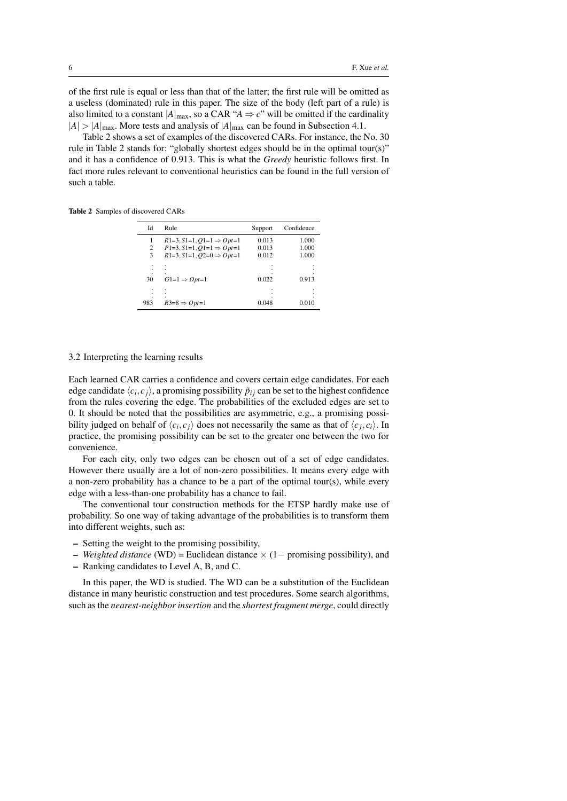of the first rule is equal or less than that of the latter; the first rule will be omitted as a useless (dominated) rule in this paper. The size of the body (left part of a rule) is also limited to a constant  $|A|_{\text{max}}$ , so a CAR " $A \Rightarrow c$ " will be omitted if the cardinality  $|A| > |A|_{\text{max}}$ . More tests and analysis of  $|A|_{\text{max}}$  can be found in Subsection 4.1.

Table 2 shows a set of examples of the discovered CARs. For instance, the No. 30 rule in Table 2 stands for: "globally shortest edges should be in the optimal tour(s)" and it has a confidence of 0.913. This is what the *Greedy* heuristic follows first. In fact more rules relevant to conventional heuristics can be found in the full version of such a table.

Table 2 Samples of discovered CARs

| Id             | <b>Rule</b>                          | Support | Confidence |
|----------------|--------------------------------------|---------|------------|
|                | $R1=3, S1=1, O1=1 \Rightarrow Opt=1$ | 0.013   | 1.000      |
| $\overline{c}$ | $P1=3, S1=1, Q1=1 \Rightarrow Opt=1$ | 0.013   | 1.000      |
| 3              | $R1=3, S1=1, O2=0 \Rightarrow Opt=1$ | 0.012   | 1.000      |
|                |                                      |         |            |
| 30             | $G1=1 \Rightarrow Opt=1$             | 0.022   | 0.913      |
|                |                                      | ٠       |            |
|                |                                      |         |            |
| 983            | $R3=8 \Rightarrow Opt=1$             | 0.048   | 0.010      |

## 3.2 Interpreting the learning results

Each learned CAR carries a confidence and covers certain edge candidates. For each edge candidate  $\langle c_i, c_j \rangle$ , a promising possibility  $\tilde{p}_{ij}$  can be set to the highest confidence from the rules covering the edge. The probabilities of the excluded edges are set to 0. It should be noted that the possibilities are asymmetric, e.g., a promising possibility judged on behalf of  $\langle c_i, c_j \rangle$  does not necessarily the same as that of  $\langle c_j, c_i \rangle$ . In practice, the promising possibility can be set to the greater one between the two for convenience.

For each city, only two edges can be chosen out of a set of edge candidates. However there usually are a lot of non-zero possibilities. It means every edge with a non-zero probability has a chance to be a part of the optimal tour(s), while every edge with a less-than-one probability has a chance to fail.

The conventional tour construction methods for the ETSP hardly make use of probability. So one way of taking advantage of the probabilities is to transform them into different weights, such as:

- Setting the weight to the promising possibility,
- *Weighted distance* (WD) = Euclidean distance *×* (1*−* promising possibility), and
- Ranking candidates to Level A, B, and C.

In this paper, the WD is studied. The WD can be a substitution of the Euclidean distance in many heuristic construction and test procedures. Some search algorithms, such as the *nearest-neighbor insertion* and the *shortest fragment merge*, could directly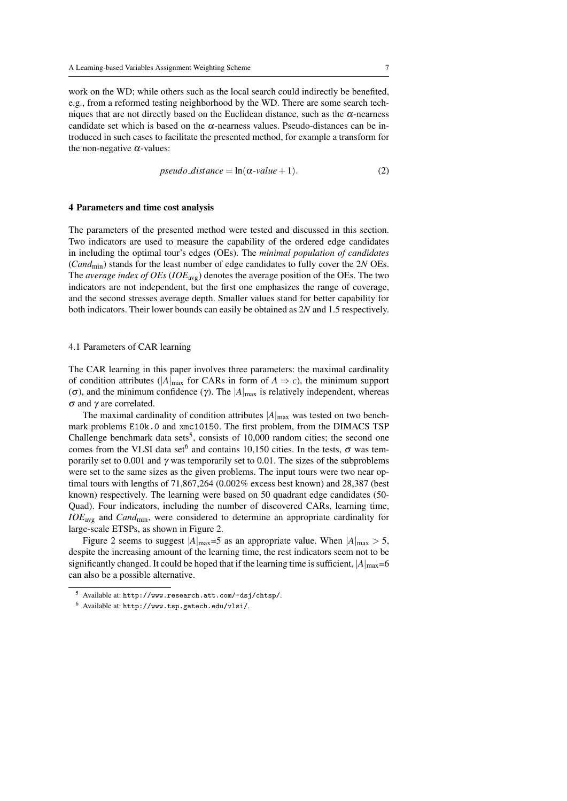work on the WD; while others such as the local search could indirectly be benefited, e.g., from a reformed testing neighborhood by the WD. There are some search techniques that are not directly based on the Euclidean distance, such as the  $\alpha$ -nearness candidate set which is based on the  $\alpha$ -nearness values. Pseudo-distances can be introduced in such cases to facilitate the presented method, for example a transform for the non-negative  $\alpha$ -values:

$$
pseudo\_distance = \ln(\alpha \text{-value} + 1). \tag{2}
$$

## 4 Parameters and time cost analysis

The parameters of the presented method were tested and discussed in this section. Two indicators are used to measure the capability of the ordered edge candidates in including the optimal tour's edges (OEs). The *minimal population of candidates* (*Cand*min) stands for the least number of edge candidates to fully cover the 2*N* OEs. The *average index of OEs* (*IOE*avg) denotes the average position of the OEs. The two indicators are not independent, but the first one emphasizes the range of coverage, and the second stresses average depth. Smaller values stand for better capability for both indicators. Their lower bounds can easily be obtained as 2*N* and 1.5 respectively.

#### 4.1 Parameters of CAR learning

The CAR learning in this paper involves three parameters: the maximal cardinality of condition attributes ( $|A|_{\text{max}}$  for CARs in form of  $A \Rightarrow c$ ), the minimum support (σ), and the minimum confidence (γ). The  $|A|_{max}$  is relatively independent, whereas <sup>σ</sup> and γ are correlated.

The maximal cardinality of condition attributes  $|A|_{\text{max}}$  was tested on two benchmark problems E10k.0 and xmc10150. The first problem, from the DIMACS TSP Challenge benchmark data sets<sup>5</sup>, consists of  $10,000$  random cities; the second one comes from the VLSI data set<sup>6</sup> and contains 10,150 cities. In the tests,  $\sigma$  was temporarily set to 0.001 and  $\gamma$  was temporarily set to 0.01. The sizes of the subproblems were set to the same sizes as the given problems. The input tours were two near optimal tours with lengths of 71,867,264 (0.002% excess best known) and 28,387 (best known) respectively. The learning were based on 50 quadrant edge candidates (50- Quad). Four indicators, including the number of discovered CARs, learning time, *IOE*avg and *Cand*min, were considered to determine an appropriate cardinality for large-scale ETSPs, as shown in Figure 2.

Figure 2 seems to suggest  $|A|_{\text{max}} = 5$  as an appropriate value. When  $|A|_{\text{max}} > 5$ , despite the increasing amount of the learning time, the rest indicators seem not to be significantly changed. It could be hoped that if the learning time is sufficient,  $|A|_{max}=6$ can also be a possible alternative.

<sup>5</sup> Available at: http://www.research.att.com/~dsj/chtsp/.

<sup>6</sup> Available at: http://www.tsp.gatech.edu/vlsi/.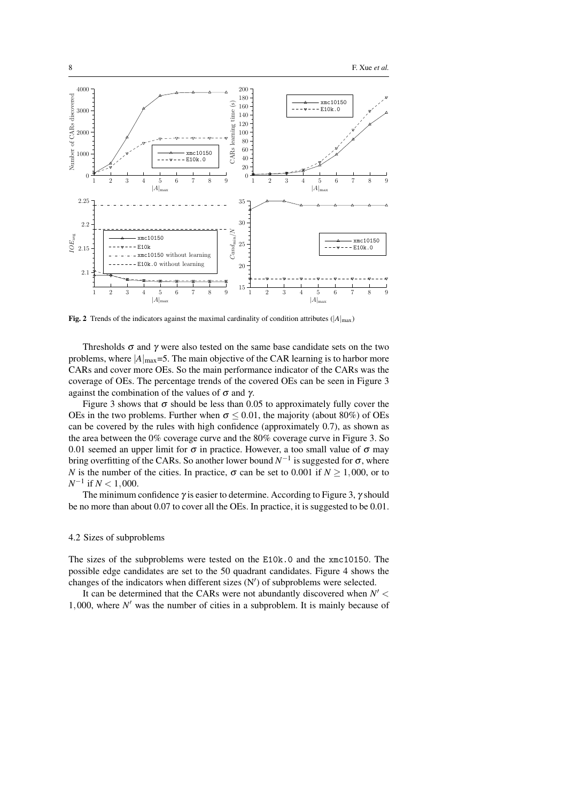

Fig. 2 Trends of the indicators against the maximal cardinality of condition attributes ( $|A|_{max}$ )

Thresholds  $\sigma$  and  $\gamma$  were also tested on the same base candidate sets on the two problems, where  $|A|_{\text{max}} = 5$ . The main objective of the CAR learning is to harbor more CARs and cover more OEs. So the main performance indicator of the CARs was the coverage of OEs. The percentage trends of the covered OEs can be seen in Figure 3 against the combination of the values of  $\sigma$  and  $\gamma$ .

Figure 3 shows that  $\sigma$  should be less than 0.05 to approximately fully cover the OEs in the two problems. Further when  $\sigma \leq 0.01$ , the majority (about 80%) of OEs can be covered by the rules with high confidence (approximately 0.7), as shown as the area between the 0% coverage curve and the 80% coverage curve in Figure 3. So 0.01 seemed an upper limit for  $\sigma$  in practice. However, a too small value of  $\sigma$  may bring overfitting of the CARs. So another lower bound  $N^{-1}$  is suggested for σ, where *N* is the number of the cities. In practice,  $\sigma$  can be set to 0.001 if  $N \ge 1,000$ , or to *N −*1 if *N <* 1*,*000.

The minimum confidence  $\gamma$  is easier to determine. According to Figure 3,  $\gamma$  should be no more than about 0.07 to cover all the OEs. In practice, it is suggested to be 0.01.

## 4.2 Sizes of subproblems

The sizes of the subproblems were tested on the E10k.0 and the xmc10150. The possible edge candidates are set to the 50 quadrant candidates. Figure 4 shows the changes of the indicators when different sizes (N*′* ) of subproblems were selected.

It can be determined that the CARs were not abundantly discovered when *N ′ <* 1*,*000, where *N ′* was the number of cities in a subproblem. It is mainly because of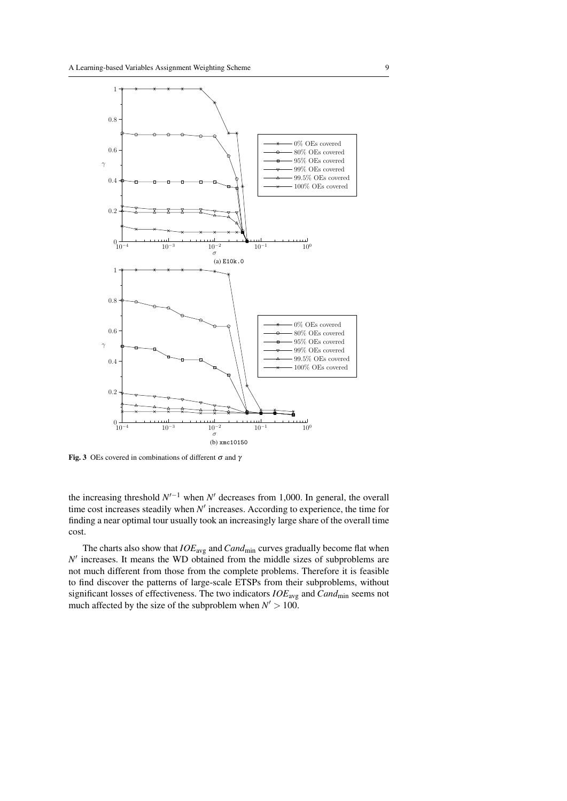

Fig. 3 OEs covered in combinations of different  $\sigma$  and  $\gamma$ 

the increasing threshold  $N'^{-1}$  when  $N'$  decreases from 1,000. In general, the overall time cost increases steadily when *N ′* increases. According to experience, the time for finding a near optimal tour usually took an increasingly large share of the overall time cost.

The charts also show that  $IOE_{\text{avg}}$  and  $Cand_{\text{min}}$  curves gradually become flat when  $N'$  increases. It means the WD obtained from the middle sizes of subproblems are not much different from those from the complete problems. Therefore it is feasible to find discover the patterns of large-scale ETSPs from their subproblems, without significant losses of effectiveness. The two indicators *IOE*avg and *Cand*min seems not much affected by the size of the subproblem when  $N' > 100$ .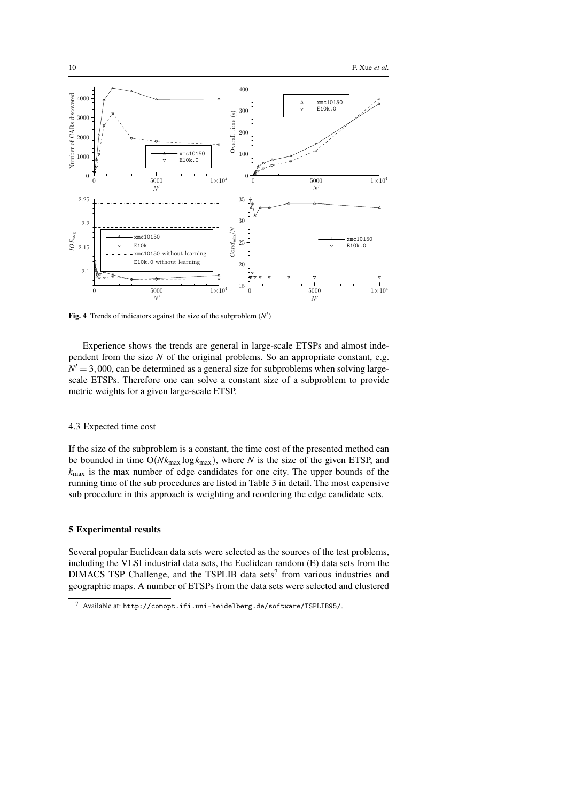

Fig. 4 Trends of indicators against the size of the subproblem (*N ′* )

Experience shows the trends are general in large-scale ETSPs and almost independent from the size *N* of the original problems. So an appropriate constant, e.g.  $N' = 3,000$ , can be determined as a general size for subproblems when solving largescale ETSPs. Therefore one can solve a constant size of a subproblem to provide metric weights for a given large-scale ETSP.

## 4.3 Expected time cost

If the size of the subproblem is a constant, the time cost of the presented method can be bounded in time  $O(Nk_{\text{max}} \log k_{\text{max}})$ , where *N* is the size of the given ETSP, and *k*max is the max number of edge candidates for one city. The upper bounds of the running time of the sub procedures are listed in Table 3 in detail. The most expensive sub procedure in this approach is weighting and reordering the edge candidate sets.

# 5 Experimental results

Several popular Euclidean data sets were selected as the sources of the test problems, including the VLSI industrial data sets, the Euclidean random (E) data sets from the  $DIMACS$  TSP Challenge, and the TSPLIB data sets<sup>7</sup> from various industries and geographic maps. A number of ETSPs from the data sets were selected and clustered

<sup>7</sup> Available at: http://comopt.ifi.uni-heidelberg.de/software/TSPLIB95/.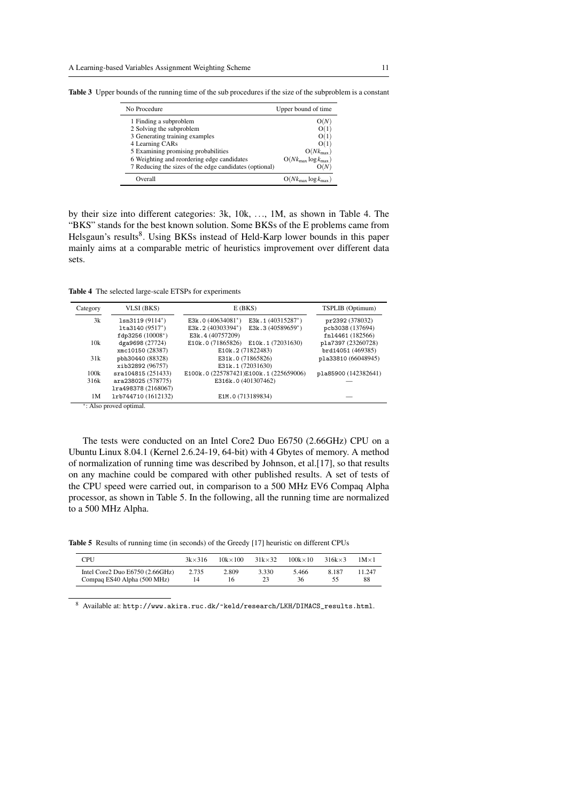| No Procedure                                           | Upper bound of time                      |
|--------------------------------------------------------|------------------------------------------|
| 1 Finding a subproblem                                 | O(N                                      |
| 2 Solving the subproblem                               |                                          |
| 3 Generating training examples                         | O(1)                                     |
| 4 Learning CARs                                        | O(1)                                     |
| 5 Examining promising probabilities                    | $O(Nk_{\text{max}})$                     |
| 6 Weighting and reordering edge candidates             | $O(Nk_{\text{max}} \log k_{\text{max}})$ |
| 7 Reducing the sizes of the edge candidates (optional) | O(N)                                     |
| Overall                                                | $O(Nk_{\text{max}} \log k_{\text{max}})$ |

Table 3 Upper bounds of the running time of the sub procedures if the size of the subproblem is a constant

by their size into different categories: 3k, 10k, *...*, 1M, as shown in Table 4. The "BKS" stands for the best known solution. Some BKSs of the E problems came from Helsgaun's results<sup>8</sup>. Using BKSs instead of Held-Karp lower bounds in this paper mainly aims at a comparable metric of heuristics improvement over different data sets.

Table 4 The selected large-scale ETSPs for experiments

| Category             | VLSI (BKS)           | E(BKS)                                       | TSPLIB (Optimum)     |
|----------------------|----------------------|----------------------------------------------|----------------------|
| 3k                   | $lsn3119(9114^*)$    | E3k.1 (40315287*)<br>E3k.0 $(40634081^*)$    | pr2392 (378032)      |
|                      | $lta3140 (9517^*)$   | E3k.2 $(40303394^*)$<br>E3k.3 $(40589659^*)$ | pcb3038 (137694)     |
|                      | $fdp3256(10008^*)$   | E3k.4 (40757209)                             | fn14461 (182566)     |
| 10k                  | dga9698 (27724)      | E10k.0 (71865826) E10k.1 (72031630)          | pla7397 (23260728)   |
|                      | xmc10150 (28387)     | E10k.2 (71822483)                            | brd14051 (469385)    |
| 31k                  | pbh30440 (88328)     | E31k.0 (71865826)                            | pla33810 (66048945)  |
|                      | xib32892 (96757)     | E31k.1 (72031630)                            |                      |
| 100k                 | sra104815 (251433)   | E100k.0 (225787421)E100k.1 (225659006)       | pla85900 (142382641) |
| 316k                 | ara238025 (578775)   | E316k.0 (401307462)                          |                      |
|                      | 1ra498378 (2168067)  |                                              |                      |
| 1M                   | 1rb744710 (1612132)  | E1M.0 (713189834)                            |                      |
| $\sim$ $\sim$ $\sim$ | $\sim$ $\sim$ $\sim$ |                                              |                      |

*∗* : Also proved optimal.

The tests were conducted on an Intel Core2 Duo E6750 (2.66GHz) CPU on a Ubuntu Linux 8.04.1 (Kernel 2.6.24-19, 64-bit) with 4 Gbytes of memory. A method of normalization of running time was described by Johnson, et al.[17], so that results on any machine could be compared with other published results. A set of tests of the CPU speed were carried out, in comparison to a 500 MHz EV6 Compaq Alpha processor, as shown in Table 5. In the following, all the running time are normalized to a 500 MHz Alpha.

Table 5 Results of running time (in seconds) of the Greedy [17] heuristic on different CPUs

| <b>CPU</b>                      | $3k \times 316$ | $10k \times 100$ | $31k \times 32$ | $100k \times 10$ | $316k \times 3$ | $1M \times 1$ |
|---------------------------------|-----------------|------------------|-----------------|------------------|-----------------|---------------|
| Intel Core2 Duo E6750 (2.66GHz) | 2.735           | 2.809            | 3.330           | 5.466            | 8.187           | 11.247        |
| Compag ES40 Alpha (500 MHz)     | 14              | 16               | 23              | 36               | 55              | 88            |

 $^8$  Available at: http://www.akira.ruc.dk/~keld/research/LKH/DIMACS\_results.html.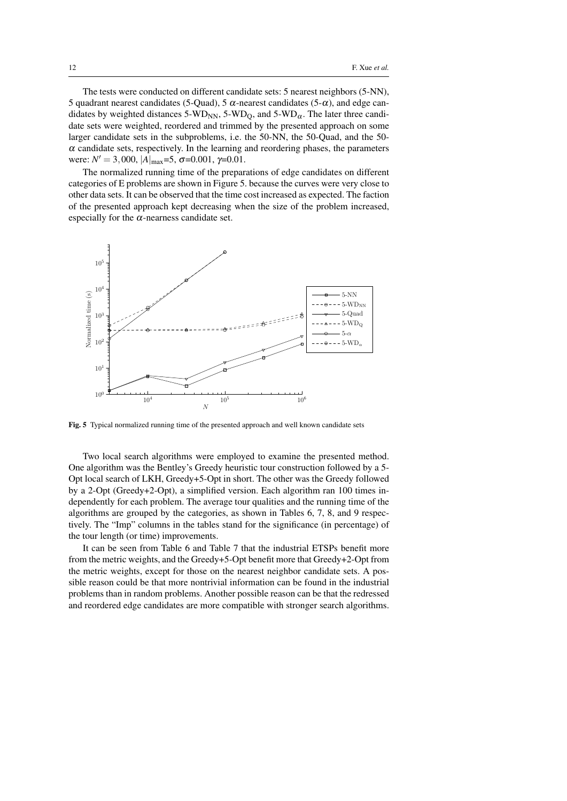The tests were conducted on different candidate sets: 5 nearest neighbors (5-NN), 5 quadrant nearest candidates (5-Quad), 5  $\alpha$ -nearest candidates (5- $\alpha$ ), and edge candidates by weighted distances 5-WD<sub>NN</sub>, 5-WD<sub>O</sub>, and 5-WD<sub> $\alpha$ </sub>. The later three candidate sets were weighted, reordered and trimmed by the presented approach on some larger candidate sets in the subproblems, i.e. the 50-NN, the 50-Quad, and the 50-  $\alpha$  candidate sets, respectively. In the learning and reordering phases, the parameters were:  $N' = 3,000, |A|_{\text{max}} = 5, \sigma = 0.001, \gamma = 0.01.$ 

The normalized running time of the preparations of edge candidates on different categories of E problems are shown in Figure 5. because the curves were very close to other data sets. It can be observed that the time cost increased as expected. The faction of the presented approach kept decreasing when the size of the problem increased, especially for the  $\alpha$ -nearness candidate set.



Fig. 5 Typical normalized running time of the presented approach and well known candidate sets

Two local search algorithms were employed to examine the presented method. One algorithm was the Bentley's Greedy heuristic tour construction followed by a 5- Opt local search of LKH, Greedy+5-Opt in short. The other was the Greedy followed by a 2-Opt (Greedy+2-Opt), a simplified version. Each algorithm ran 100 times independently for each problem. The average tour qualities and the running time of the algorithms are grouped by the categories, as shown in Tables 6, 7, 8, and 9 respectively. The "Imp" columns in the tables stand for the significance (in percentage) of the tour length (or time) improvements.

It can be seen from Table 6 and Table 7 that the industrial ETSPs benefit more from the metric weights, and the Greedy+5-Opt benefit more that Greedy+2-Opt from the metric weights, except for those on the nearest neighbor candidate sets. A possible reason could be that more nontrivial information can be found in the industrial problems than in random problems. Another possible reason can be that the redressed and reordered edge candidates are more compatible with stronger search algorithms.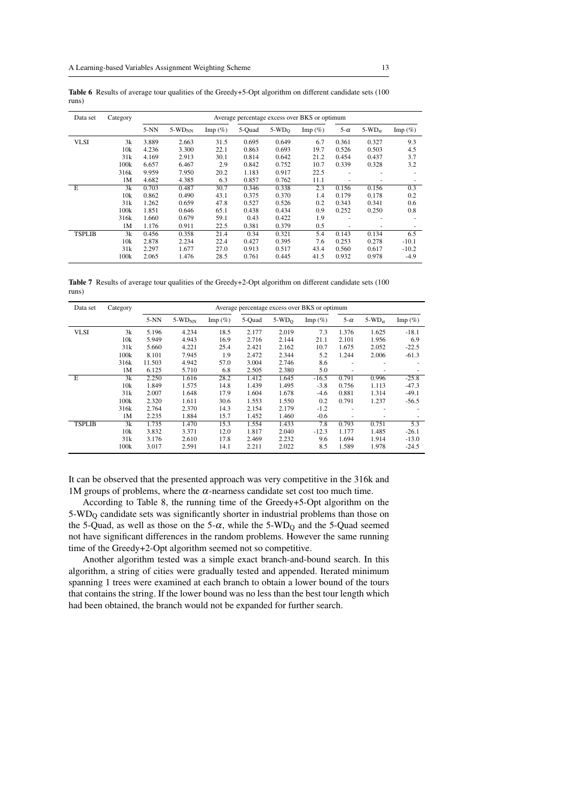| Data set      | Category |        |             |            |        |         | Average percentage excess over BKS or optimum |            |                  |                  |
|---------------|----------|--------|-------------|------------|--------|---------|-----------------------------------------------|------------|------------------|------------------|
|               |          | $5-NN$ | $5-WD_{NN}$ | Imp $(\%)$ | 5-Quad | $5-WDO$ | Imp $(\%)$                                    | $5-\alpha$ | 5-WD $_{\alpha}$ | $\text{Imp}(\%)$ |
| <b>VLSI</b>   | 3k       | 3.889  | 2.663       | 31.5       | 0.695  | 0.649   | 6.7                                           | 0.361      | 0.327            | 9.3              |
|               | 10k      | 4.236  | 3.300       | 22.1       | 0.863  | 0.693   | 19.7                                          | 0.526      | 0.503            | 4.5              |
|               | 31k      | 4.169  | 2.913       | 30.1       | 0.814  | 0.642   | 21.2                                          | 0.454      | 0.437            | 3.7              |
|               | 100k     | 6.657  | 6.467       | 2.9        | 0.842  | 0.752   | 10.7                                          | 0.339      | 0.328            | 3.2              |
|               | 316k     | 9.959  | 7.950       | 20.2       | 1.183  | 0.917   | 22.5                                          | ٠          |                  |                  |
|               | 1M       | 4.682  | 4.385       | 6.3        | 0.857  | 0.762   | 11.1                                          | ۰          | ۰                |                  |
| $_{\rm E}$    | 3k       | 0.703  | 0.487       | 30.7       | 0.346  | 0.338   | 2.3                                           | 0.156      | 0.156            | 0.3              |
|               | 10k      | 0.862  | 0.490       | 43.1       | 0.375  | 0.370   | 1.4                                           | 0.179      | 0.178            | 0.2              |
|               | 31k      | 1.262  | 0.659       | 47.8       | 0.527  | 0.526   | 0.2                                           | 0.343      | 0.341            | 0.6              |
|               | 100k     | 1.851  | 0.646       | 65.1       | 0.438  | 0.434   | 0.9                                           | 0.252      | 0.250            | 0.8              |
|               | 316k     | 1.660  | 0.679       | 59.1       | 0.43   | 0.422   | 1.9                                           |            |                  |                  |
|               | 1M       | 1.176  | 0.911       | 22.5       | 0.381  | 0.379   | 0.5                                           |            |                  |                  |
| <b>TSPLIB</b> | 3k       | 0.456  | 0.358       | 21.4       | 0.34   | 0.321   | 5.4                                           | 0.143      | 0.134            | 6.5              |
|               | 10k      | 2.878  | 2.234       | 22.4       | 0.427  | 0.395   | 7.6                                           | 0.253      | 0.278            | $-10.1$          |
|               | 31k      | 2.297  | 1.677       | 27.0       | 0.913  | 0.517   | 43.4                                          | 0.560      | 0.617            | $-10.2$          |
|               | 100k     | 2.065  | 1.476       | 28.5       | 0.761  | 0.445   | 41.5                                          | 0.932      | 0.978            | $-4.9$           |

Table 6 Results of average tour qualities of the Greedy+5-Opt algorithm on different candidate sets (100) runs)

Table 7 Results of average tour qualities of the Greedy+2-Opt algorithm on different candidate sets (100 runs)

| Data set      | Category |        |             |                  |        |         | Average percentage excess over BKS or optimum |            |               |                  |
|---------------|----------|--------|-------------|------------------|--------|---------|-----------------------------------------------|------------|---------------|------------------|
|               |          | $5-NN$ | $5-WD_{NN}$ | $\text{Imp}(\%)$ | 5-Quad | $5-WD0$ | Imp $(\%)$                                    | $5-\alpha$ | 5-WD $\alpha$ | $\text{Imp}(\%)$ |
| <b>VLSI</b>   | 3k       | 5.196  | 4.234       | 18.5             | 2.177  | 2.019   | 7.3                                           | 1.376      | 1.625         | $-18.1$          |
|               | 10k      | 5.949  | 4.943       | 16.9             | 2.716  | 2.144   | 21.1                                          | 2.101      | 1.956         | 6.9              |
|               | 31k      | 5.660  | 4.221       | 25.4             | 2.421  | 2.162   | 10.7                                          | 1.675      | 2.052         | $-22.5$          |
|               | 100k     | 8.101  | 7.945       | 1.9              | 2.472  | 2.344   | 5.2                                           | 1.244      | 2.006         | $-61.3$          |
|               | 316k     | 11.503 | 4.942       | 57.0             | 3.004  | 2.746   | 8.6                                           |            |               |                  |
|               | 1M       | 6.125  | 5.710       | 6.8              | 2.505  | 2.380   | 5.0                                           |            | ۰             |                  |
| E             | 3k       | 2.250  | 1.616       | 28.2             | 1.412  | 1.645   | $-16.5$                                       | 0.791      | 0.996         | $-25.8$          |
|               | 10k      | 1.849  | 1.575       | 14.8             | 1.439  | 1.495   | $-3.8$                                        | 0.756      | 1.113         | $-47.3$          |
|               | 31k      | 2.007  | 1.648       | 17.9             | 1.604  | 1.678   | $-4.6$                                        | 0.881      | 1.314         | $-49.1$          |
|               | 100k     | 2.320  | 1.611       | 30.6             | 1.553  | 1.550   | 0.2                                           | 0.791      | 1.237         | $-56.5$          |
|               | 316k     | 2.764  | 2.370       | 14.3             | 2.154  | 2.179   | $-1.2$                                        | ۰          | ۰             |                  |
|               | 1M       | 2.235  | 1.884       | 15.7             | 1.452  | 1.460   | $-0.6$                                        |            | ۰             |                  |
| <b>TSPLIB</b> | 3k       | 1.735  | 1.470       | 15.3             | 1.554  | 1.433   | 7.8                                           | 0.793      | 0.751         | 5.3              |
|               | 10k      | 3.832  | 3.371       | 12.0             | 1.817  | 2.040   | $-12.3$                                       | 1.177      | 1.485         | $-26.1$          |
|               | 31k      | 3.176  | 2.610       | 17.8             | 2.469  | 2.232   | 9.6                                           | 1.694      | 1.914         | $-13.0$          |
|               | 100k     | 3.017  | 2.591       | 14.1             | 2.211  | 2.022   | 8.5                                           | 1.589      | 1.978         | $-24.5$          |

It can be observed that the presented approach was very competitive in the 316k and 1M groups of problems, where the  $\alpha$ -nearness candidate set cost too much time.

According to Table 8, the running time of the Greedy+5-Opt algorithm on the 5-WD<sup>Q</sup> candidate sets was significantly shorter in industrial problems than those on the 5-Quad, as well as those on the 5- $\alpha$ , while the 5-WD<sub>O</sub> and the 5-Quad seemed not have significant differences in the random problems. However the same running time of the Greedy+2-Opt algorithm seemed not so competitive.

Another algorithm tested was a simple exact branch-and-bound search. In this algorithm, a string of cities were gradually tested and appended. Iterated minimum spanning 1 trees were examined at each branch to obtain a lower bound of the tours that contains the string. If the lower bound was no less than the best tour length which had been obtained, the branch would not be expanded for further search.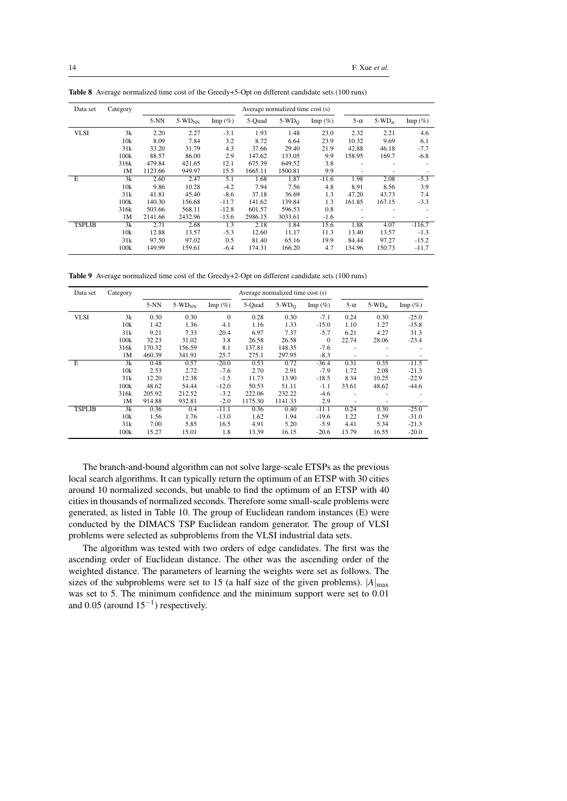| Data set      | Category |         |             |            |         | Average normalized time cost (s) |                  |            |               |                  |
|---------------|----------|---------|-------------|------------|---------|----------------------------------|------------------|------------|---------------|------------------|
|               |          | $5-NN$  | $5-WD_{NN}$ | Imp $(\%)$ | 5-Quad  | $5-WD0$                          | $\text{Imp}(\%)$ | $5-\alpha$ | 5-WD $\alpha$ | $\text{Imp}(\%)$ |
| <b>VLSI</b>   | 3k       | 2.20    | 2.27        | $-3.1$     | 1.93    | 1.48                             | 23.0             | 2.32       | 2.21          | 4.6              |
|               | 10k      | 8.09    | 7.84        | 3.2        | 8.72    | 6.64                             | 23.9             | 10.32      | 9.69          | 6.1              |
|               | 31k      | 33.20   | 31.79       | 4.3        | 37.66   | 29.40                            | 21.9             | 42.88      | 46.18         | $-7.7$           |
|               | 100k     | 88.57   | 86.00       | 2.9        | 147.62  | 133.05                           | 9.9              | 158.95     | 169.7         | $-6.8$           |
|               | 316k     | 479.84  | 421.65      | 12.1       | 675.39  | 649.52                           | 3.8              | ٠          |               |                  |
|               | 1M       | 1123.66 | 949.97      | 15.5       | 1665.11 | 1500.81                          | 9.9              | ٠          |               |                  |
| E             | 3k       | 2.60    | 2.47        | 5.1        | 1.68    | 1.87                             | $-11.6$          | 1.98       | 2.08          | $-5.3$           |
|               | 10k      | 9.86    | 10.28       | $-4.2$     | 7.94    | 7.56                             | 4.8              | 8.91       | 8.56          | 3.9              |
|               | 31k      | 41.81   | 45.40       | $-8.6$     | 37.18   | 36.69                            | 1.3              | 47.20      | 43.73         | 7.4              |
|               | 100k     | 140.30  | 156.68      | $-11.7$    | 141.62  | 139.84                           | 1.3              | 161.85     | 167.15        | $-3.3$           |
|               | 316k     | 503.66  | 568.11      | $-12.8$    | 601.57  | 596.53                           | 0.8              | ٠          | ۰             |                  |
|               | 1M       | 2141.66 | 2432.96     | $-13.6$    | 2986.15 | 3033.61                          | $-1.6$           | ٠          | ۰             |                  |
| <b>TSPLIB</b> | 3k       | 2.71    | 2.68        | 1.3        | 2.18    | 1.84                             | 15.6             | 1.88       | 4.07          | $-116.7$         |
|               | 10k      | 12.88   | 13.57       | $-5.3$     | 12.60   | 11.17                            | 11.3             | 13.40      | 13.57         | $-1.3$           |
|               | 31k      | 97.50   | 97.02       | 0.5        | 81.40   | 65.16                            | 19.9             | 84.44      | 97.27         | $-15.2$          |
|               | 100k     | 149.99  | 159.61      | $-6.4$     | 174.31  | 166.20                           | 4.7              | 134.96     | 150.73        | $-11.7$          |

Table 8 Average normalized time cost of the Greedy+5-Opt on different candidate sets (100 runs)

Table 9 Average normalized time cost of the Greedy+2-Opt on different candidate sets (100 runs)

| Data set      | Category         |        |             |                  |         | Average normalized time cost (s) |                  |             |                          |                  |
|---------------|------------------|--------|-------------|------------------|---------|----------------------------------|------------------|-------------|--------------------------|------------------|
|               |                  | $5-NN$ | $5-WD_{NN}$ | $\text{Imp}(\%)$ | 5-Quad  | $5-WDO$                          | $\text{Imp}(\%)$ | 5- $\alpha$ | 5-WD $_{\alpha}$         | $\text{Imp}(\%)$ |
| <b>VLSI</b>   | 3k               | 0.30   | 0.30        | $\mathbf{0}$     | 0.28    | 0.30                             | $-7.1$           | 0.24        | 0.30                     | $-25.0$          |
|               | 10k              | 1.42   | 1.36        | 4.1              | 1.16    | 1.33                             | $-15.0$          | 1.10        | 1.27                     | $-15.8$          |
|               | 31k              | 9.21   | 7.33        | 20.4             | 6.97    | 7.37                             | $-5.7$           | 6.21        | 4.27                     | 31.3             |
|               | 100k             | 32.23  | 31.02       | 3.8              | 26.58   | 26.58                            | $\mathbf{0}$     | 22.74       | 28.06                    | $-23.4$          |
|               | 316k             | 170.32 | 156.59      | 8.1              | 137.81  | 148.35                           | $-7.6$           | -           | $\overline{\phantom{a}}$ |                  |
|               | 1M               | 460.39 | 341.91      | 25.7             | 275.1   | 297.95                           | $-8.3$           |             | ٠                        |                  |
| E             | 3k               | 0.48   | 0.57        | $-20.0$          | 0.53    | 0.72                             | $-36.4$          | 0.31        | 0.35                     | $-11.5$          |
|               | 10k              | 2.53   | 2.72        | $-7.6$           | 2.70    | 2.91                             | $-7.9$           | 1.72        | 2.08                     | $-21.3$          |
|               | 31k              | 12.20  | 12.38       | $-1.5$           | 11.73   | 13.90                            | $-18.5$          | 8.34        | 10.25                    | $-22.9$          |
|               | 100k             | 48.62  | 54.44       | $-12.0$          | 50.53   | 51.11                            | $-1.1$           | 33.61       | 48.62                    | $-44.6$          |
|               | 316k             | 205.92 | 212.52      | $-3.2$           | 222.06  | 232.22                           | $-4.6$           |             | ٠                        |                  |
|               | 1M               | 914.88 | 932.81      | $-2.0$           | 1175.30 | 1141.33                          | 2.9              | ٠           | $\overline{\phantom{a}}$ |                  |
| <b>TSPLIB</b> | 3k               | 0.36   | 0.4         | $-11.1$          | 0.36    | 0.40                             | $-11.1$          | 0.24        | 0.30                     | $-25.0$          |
|               | 10k              | 1.56   | 1.76        | $-13.0$          | 1.62    | 1.94                             | $-19.6$          | 1.22        | 1.59                     | $-31.0$          |
|               | 31k              | 7.00   | 5.85        | 16.5             | 4.91    | 5.20                             | $-5.9$           | 4.41        | 5.34                     | $-21.3$          |
|               | 100 <sub>k</sub> | 15.27  | 15.01       | 1.8              | 13.39   | 16.15                            | $-20.6$          | 13.79       | 16.55                    | $-20.0$          |

The branch-and-bound algorithm can not solve large-scale ETSPs as the previous local search algorithms. It can typically return the optimum of an ETSP with 30 cities around 10 normalized seconds, but unable to find the optimum of an ETSP with 40 cities in thousands of normalized seconds. Therefore some small-scale problems were generated, as listed in Table 10. The group of Euclidean random instances (E) were conducted by the DIMACS TSP Euclidean random generator. The group of VLSI problems were selected as subproblems from the VLSI industrial data sets.

The algorithm was tested with two orders of edge candidates. The first was the ascending order of Euclidean distance. The other was the ascending order of the weighted distance. The parameters of learning the weights were set as follows. The sizes of the subproblems were set to 15 (a half size of the given problems).  $|A|_{\text{max}}$ was set to 5. The minimum confidence and the minimum support were set to 0*.*01 and 0*.*05 (around 15*−*<sup>1</sup> ) respectively.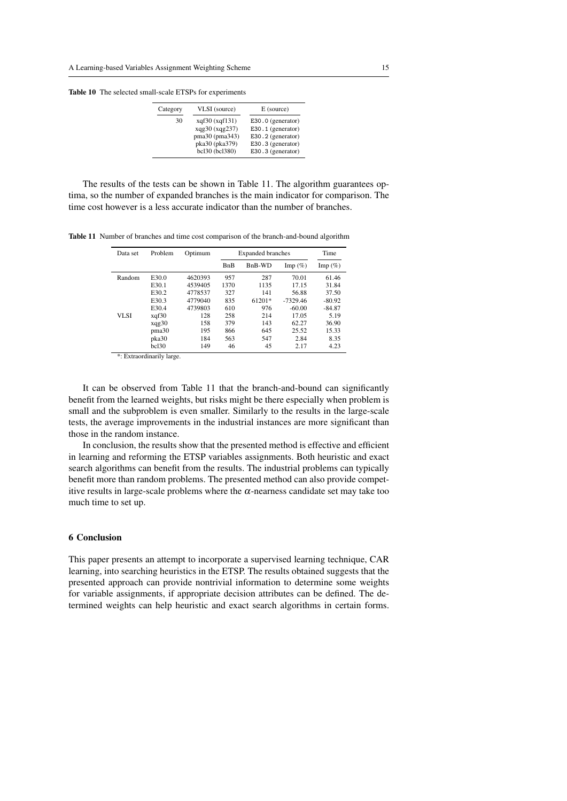Table 10 The selected small-scale ETSPs for experiments

| Category | VLSI (source)  | E (source)        |
|----------|----------------|-------------------|
| 30       | xqf30(xqf131)  | E30.0 (generator) |
|          | xqg30 (xqg237) | E30.1 (generator) |
|          | pma30 (pma343) | E30.2 (generator) |
|          | pka30 (pka379) | E30.3 (generator) |
|          | bcl30 (bcl380) | E30.3 (generator) |

The results of the tests can be shown in Table 11. The algorithm guarantees optima, so the number of expanded branches is the main indicator for comparison. The time cost however is a less accurate indicator than the number of branches.

Table 11 Number of branches and time cost comparison of the branch-and-bound algorithm

| Data set | Problem               | Optimum | <b>Expanded branches</b> | Time   |                  |            |
|----------|-----------------------|---------|--------------------------|--------|------------------|------------|
|          |                       |         | <b>BnB</b>               | BnB-WD | $\text{Imp}(\%)$ | Imp $(\%)$ |
| Random   | E30.0                 | 4620393 | 957                      | 287    | 70.01            | 61.46      |
|          | E30.1                 | 4539405 | 1370                     | 1135   | 17.15            | 31.84      |
|          | E30.2                 | 4778537 | 327                      | 141    | 56.88            | 37.50      |
|          | E30.3                 | 4779040 | 835                      | 61201* | $-7329.46$       | $-80.92$   |
|          | E30.4                 | 4739803 | 610                      | 976    | $-60.00$         | $-84.87$   |
| VL SI    | xqf30                 | 128     | 258                      | 214    | 17.05            | 5.19       |
|          | xqg30                 | 158     | 379                      | 143    | 62.27            | 36.90      |
|          | pma <sub>30</sub>     | 195     | 866                      | 645    | 25.52            | 15.33      |
|          | pka30                 | 184     | 563                      | 547    | 2.84             | 8.35       |
| . .      | bc130<br><br>$\cdots$ | 149     | 46                       | 45     | 2.17             | 4.23       |

\*: Extraordinarily large.

It can be observed from Table 11 that the branch-and-bound can significantly benefit from the learned weights, but risks might be there especially when problem is small and the subproblem is even smaller. Similarly to the results in the large-scale tests, the average improvements in the industrial instances are more significant than those in the random instance.

In conclusion, the results show that the presented method is effective and efficient in learning and reforming the ETSP variables assignments. Both heuristic and exact search algorithms can benefit from the results. The industrial problems can typically benefit more than random problems. The presented method can also provide competitive results in large-scale problems where the  $\alpha$ -nearness candidate set may take too much time to set up.

# 6 Conclusion

This paper presents an attempt to incorporate a supervised learning technique, CAR learning, into searching heuristics in the ETSP. The results obtained suggests that the presented approach can provide nontrivial information to determine some weights for variable assignments, if appropriate decision attributes can be defined. The determined weights can help heuristic and exact search algorithms in certain forms.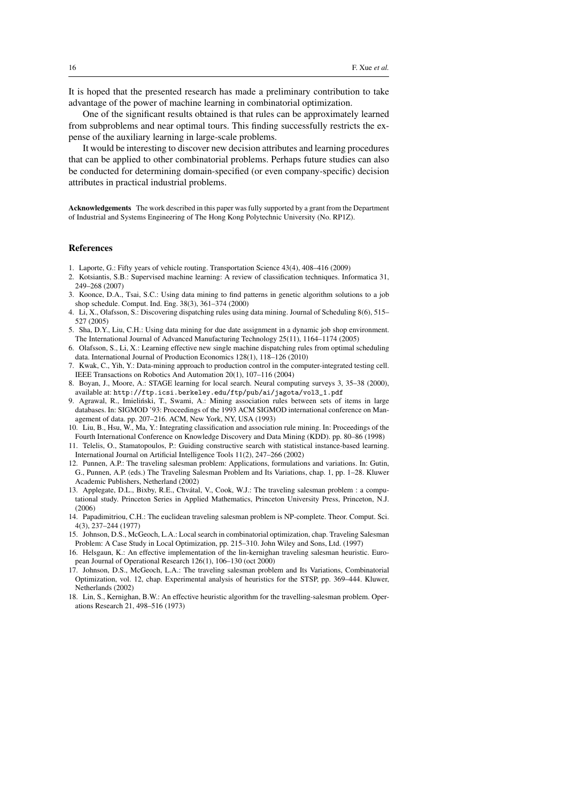It is hoped that the presented research has made a preliminary contribution to take advantage of the power of machine learning in combinatorial optimization.

One of the significant results obtained is that rules can be approximately learned from subproblems and near optimal tours. This finding successfully restricts the expense of the auxiliary learning in large-scale problems.

It would be interesting to discover new decision attributes and learning procedures that can be applied to other combinatorial problems. Perhaps future studies can also be conducted for determining domain-specified (or even company-specific) decision attributes in practical industrial problems.

Acknowledgements The work described in this paper was fully supported by a grant from the Department of Industrial and Systems Engineering of The Hong Kong Polytechnic University (No. RP1Z).

### References

- 1. Laporte, G.: Fifty years of vehicle routing. Transportation Science 43(4), 408–416 (2009)
- 2. Kotsiantis, S.B.: Supervised machine learning: A review of classification techniques. Informatica 31, 249–268 (2007)
- 3. Koonce, D.A., Tsai, S.C.: Using data mining to find patterns in genetic algorithm solutions to a job shop schedule. Comput. Ind. Eng. 38(3), 361–374 (2000)
- 4. Li, X., Olafsson, S.: Discovering dispatching rules using data mining. Journal of Scheduling 8(6), 515– 527 (2005)
- 5. Sha, D.Y., Liu, C.H.: Using data mining for due date assignment in a dynamic job shop environment. The International Journal of Advanced Manufacturing Technology 25(11), 1164–1174 (2005)
- 6. Olafsson, S., Li, X.: Learning effective new single machine dispatching rules from optimal scheduling data. International Journal of Production Economics 128(1), 118–126 (2010)
- 7. Kwak, C., Yih, Y.: Data-mining approach to production control in the computer-integrated testing cell. IEEE Transactions on Robotics And Automation 20(1), 107–116 (2004)
- 8. Boyan, J., Moore, A.: STAGE learning for local search. Neural computing surveys 3, 35–38 (2000), available at: http://ftp.icsi.berkeley.edu/ftp/pub/ai/jagota/vol3\_1.pdf
- 9. Agrawal, R., Imielinski, T., Swami, A.: Mining association rules between sets of items in large ´ databases. In: SIGMOD '93: Proceedings of the 1993 ACM SIGMOD international conference on Management of data. pp. 207–216. ACM, New York, NY, USA (1993)
- 10. Liu, B., Hsu, W., Ma, Y.: Integrating classification and association rule mining. In: Proceedings of the Fourth International Conference on Knowledge Discovery and Data Mining (KDD). pp. 80–86 (1998)
- 11. Telelis, O., Stamatopoulos, P.: Guiding constructive search with statistical instance-based learning. International Journal on Artificial Intelligence Tools 11(2), 247–266 (2002)
- 12. Punnen, A.P.: The traveling salesman problem: Applications, formulations and variations. In: Gutin, G., Punnen, A.P. (eds.) The Traveling Salesman Problem and Its Variations, chap. 1, pp. 1–28. Kluwer Academic Publishers, Netherland (2002)
- 13. Applegate, D.L., Bixby, R.E., Chvátal, V., Cook, W.J.: The traveling salesman problem : a computational study. Princeton Series in Applied Mathematics, Princeton University Press, Princeton, N.J. (2006)
- 14. Papadimitriou, C.H.: The euclidean traveling salesman problem is NP-complete. Theor. Comput. Sci. 4(3), 237–244 (1977)
- 15. Johnson, D.S., McGeoch, L.A.: Local search in combinatorial optimization, chap. Traveling Salesman Problem: A Case Study in Local Optimization, pp. 215–310. John Wiley and Sons, Ltd. (1997)
- 16. Helsgaun, K.: An effective implementation of the lin-kernighan traveling salesman heuristic. European Journal of Operational Research 126(1), 106–130 (oct 2000)
- 17. Johnson, D.S., McGeoch, L.A.: The traveling salesman problem and Its Variations, Combinatorial Optimization, vol. 12, chap. Experimental analysis of heuristics for the STSP, pp. 369–444. Kluwer, Netherlands (2002)
- 18. Lin, S., Kernighan, B.W.: An effective heuristic algorithm for the travelling-salesman problem. Operations Research 21, 498–516 (1973)